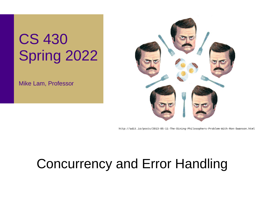# CS 430 Spring 2022

Mike Lam, Professor



http://adit.io/posts/2013-05-11-The-Dining-Philosophers-Problem-With-Ron-Swanson.html

#### Concurrency and Error Handling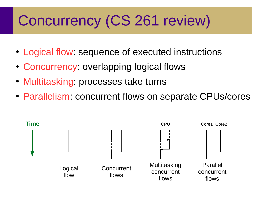# Concurrency (CS 261 review)

- Logical flow: sequence of executed instructions
- Concurrency: overlapping logical flows
- Multitasking: processes take turns
- Parallelism: concurrent flows on separate CPUs/cores

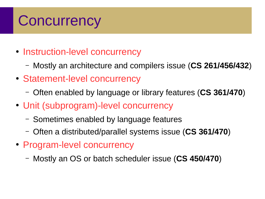#### **Concurrency**

- Instruction-level concurrency
	- Mostly an architecture and compilers issue (**CS 261/456/432**)
- Statement-level concurrency
	- Often enabled by language or library features (**CS 361/470**)
- Unit (subprogram)-level concurrency
	- Sometimes enabled by language features
	- Often a distributed/parallel systems issue (**CS 361/470**)
- Program-level concurrency
	- Mostly an OS or batch scheduler issue (**CS 450/470**)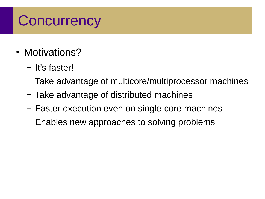### **Concurrency**

- Motivations?
	- It's faster!
	- Take advantage of multicore/multiprocessor machines
	- Take advantage of distributed machines
	- Faster execution even on single-core machines
	- Enables new approaches to solving problems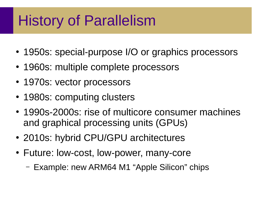### History of Parallelism

- 1950s: special-purpose I/O or graphics processors
- 1960s: multiple complete processors
- 1970s: vector processors
- 1980s: computing clusters
- 1990s-2000s: rise of multicore consumer machines and graphical processing units (GPUs)
- 2010s: hybrid CPU/GPU architectures
- Future: low-cost, low-power, many-core
	- Example: new ARM64 M1 "Apple Silicon" chips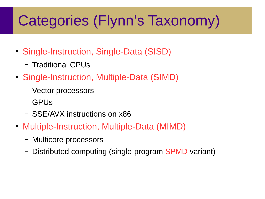# Categories (Flynn's Taxonomy)

- Single-Instruction, Single-Data (SISD)
	- Traditional CPUs
- Single-Instruction, Multiple-Data (SIMD)
	- Vector processors
	- GPUs
	- SSE/AVX instructions on x86
- Multiple-Instruction, Multiple-Data (MIMD)
	- Multicore processors
	- Distributed computing (single-program SPMD variant)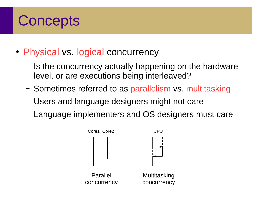- Physical vs. logical concurrency
	- Is the concurrency actually happening on the hardware level, or are executions being interleaved?
	- Sometimes referred to as parallelism vs. multitasking
	- Users and language designers might not care
	- Language implementers and OS designers must care

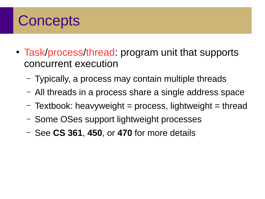- Task/process/thread: program unit that supports concurrent execution
	- Typically, a process may contain multiple threads
	- All threads in a process share a single address space
	- $-$  Textbook: heavyweight  $=$  process, lightweight  $=$  thread
	- Some OSes support lightweight processes
	- See **CS 361**, **450**, or **470** for more details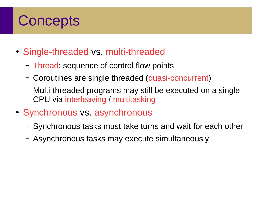- Single-threaded vs. multi-threaded
	- Thread: sequence of control flow points
	- Coroutines are single threaded (quasi-concurrent)
	- Multi-threaded programs may still be executed on a single CPU via interleaving / multitasking
- Synchronous vs. asynchronous
	- Synchronous tasks must take turns and wait for each other
	- Asynchronous tasks may execute simultaneously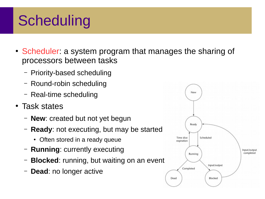# **Scheduling**

- Scheduler: a system program that manages the sharing of processors between tasks
	- Priority-based scheduling
	- Round-robin scheduling
	- Real-time scheduling
- Task states
	- **New**: created but not yet begun
	- **Ready**: not executing, but may be started
		- Often stored in a ready queue
	- **Running**: currently executing
	- **Blocked**: running, but waiting on an event
	- **Dead**: no longer active

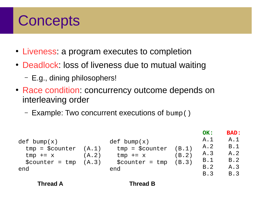- Liveness: a program executes to completion
- Deadlock: loss of liveness due to mutual waiting
	- E.g., dining philosophers!
- Race condition: concurrency outcome depends on interleaving order
	- Example: Two concurrent executions of bump()

| def bump(x)<br>$tmp = $counter$<br>$tmp \leftarrow x$<br>$\text{\$counter} = \text{tmp}$<br>end | (B.1)<br>(B.2)<br>(B.3) | OK:<br>A.1<br>A.2<br>A.3<br>B.1<br>B.2<br><b>B.3</b> | <b>BAD:</b><br>A.1<br>B.1<br>A.2<br>B.2<br>A.3<br>B.3 |
|-------------------------------------------------------------------------------------------------|-------------------------|------------------------------------------------------|-------------------------------------------------------|
| (A.1)<br>(A.3)                                                                                  |                         |                                                      |                                                       |

**Thread A Thread B**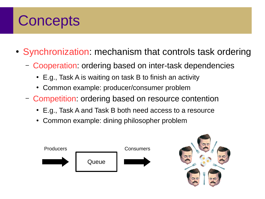- Synchronization: mechanism that controls task ordering
	- Cooperation: ordering based on inter-task dependencies
		- E.g., Task A is waiting on task B to finish an activity
		- Common example: producer/consumer problem
	- Competition: ordering based on resource contention
		- E.g., Task A and Task B both need access to a resource
		- Common example: dining philosopher problem



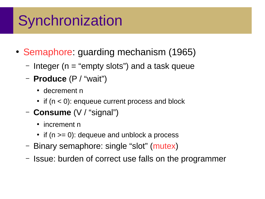# **Synchronization**

- Semaphore: guarding mechanism (1965)
	- Integer ( $n =$  "empty slots") and a task queue
	- **Produce** (P / "wait")
		- decrement n
		- $\bullet$  if (n < 0): enqueue current process and block
	- **Consume** (V / "signal")
		- increment n
		- if  $(n \ge 0)$ : dequeue and unblock a process
	- Binary semaphore: single "slot" (mutex)
	- Issue: burden of correct use falls on the programmer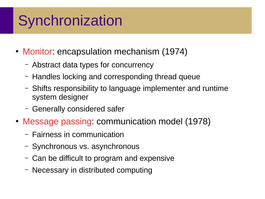# **Synchronization**

- Monitor: encapsulation mechanism (1974)
	- Abstract data types for concurrency
	- Handles locking and corresponding thread queue
	- Shifts responsibility to language implementer and runtime system designer
	- Generally considered safer
- Message passing: communication model (1978)
	- Fairness in communication
	- Synchronous vs. asynchronous
	- Can be difficult to program and expensive
	- Necessary in distributed computing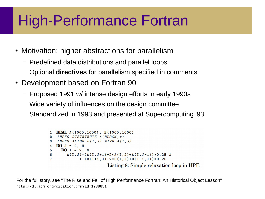### High-Performance Fortran

- Motivation: higher abstractions for parallelism
	- Predefined data distributions and parallel loops
	- Optional **directives** for parallelism specified in comments
- Development based on Fortran 90
	- Proposed 1991 w/ intense design efforts in early 1990s
	- Wide variety of influences on the design committee
	- Standardized in 1993 and presented at Supercomputing '93

```
1 REAL A(1000,1000), B(1000,1000)
2 ! HPF$ DISTRIBUTE A (BLOCK, *)
3 ! HPF$ ALIGN B(I,J) WITH A(I,J)4 \bf{DO} J = 2, N
    DO I = 2. N5\overline{5}6
       A(I,J)=(A(I,J+1)+2*A(I,J)+A(I,J-1))*0.25 &
\overline{7}+ (B(I+1, J)+2*B(I, J)+B(I-1, J))*0.25Listing 8: Simple relaxation loop in HPF.
```
For the full story, see "The Rise and Fall of High Performance Fortran: An Historical Object Lesson" http://dl.acm.org/citation.cfm?id=1238851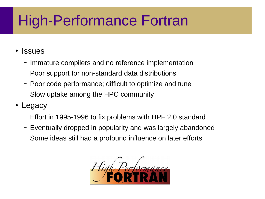# High-Performance Fortran

#### • Issues

- Immature compilers and no reference implementation
- Poor support for non-standard data distributions
- Poor code performance; difficult to optimize and tune
- Slow uptake among the HPC community
- Legacy
	- Effort in 1995-1996 to fix problems with HPF 2.0 standard
	- Eventually dropped in popularity and was largely abandoned
	- Some ideas still had a profound influence on later efforts

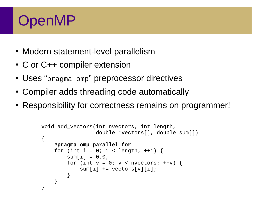#### OpenMP

- Modern statement-level parallelism
- C or C++ compiler extension
- Uses "pragma omp" preprocessor directives
- Compiler adds threading code automatically
- Responsibility for correctness remains on programmer!

```
void add_vectors(int nvectors, int length,
                  double *vectors[], double sum[])
{
    #pragma omp parallel for
    for (int i = 0; i < length; ++i) {
        sum[i] = 0.0;for (int v = 0; v < nvectors; +v) {
           sum[i] += vectors[v][i]; }
     }
}
```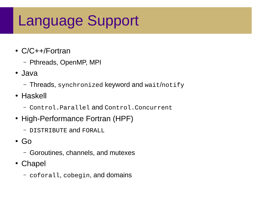### Language Support

- C/C++/Fortran
	- Pthreads, OpenMP, MPI
- Java
	- Threads, synchronized keyword and wait/notify
- Haskell
	- Control.Parallel and Control.Concurrent
- High-Performance Fortran (HPF)
	- DISTRIBUTE and FORALL
- $\cdot$  Go
	- Goroutines, channels, and mutexes
- Chapel
	- coforall, cobegin, and domains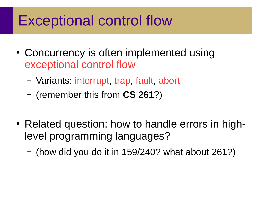#### Exceptional control flow

- Concurrency is often implemented using exceptional control flow
	- Variants: interrupt, trap, fault, abort
	- (remember this from **CS 261**?)
- Related question: how to handle errors in highlevel programming languages?
	- (how did you do it in 159/240? what about 261?)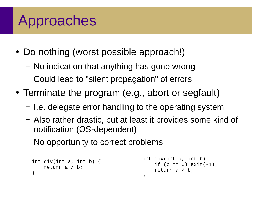# Approaches

- Do nothing (worst possible approach!)
	- No indication that anything has gone wrong
	- Could lead to "silent propagation" of errors
- Terminate the program (e.g., abort or segfault)
	- I.e. delegate error handling to the operating system
	- Also rather drastic, but at least it provides some kind of notification (OS-dependent)
	- No opportunity to correct problems

```
int div(int a, int b) {
     return a / b;
}
                                       int div(int a, int b) {
                                           if (b == 0) exit(-1);
                                            return a / b;
                                       }
```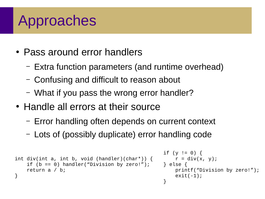## Approaches

- Pass around error handlers
	- Extra function parameters (and runtime overhead)
	- Confusing and difficult to reason about
	- What if you pass the wrong error handler?
- Handle all errors at their source
	- Error handling often depends on current context
	- Lots of (possibly duplicate) error handling code

```
int div(int a, int b, void (handler)(char*)) {
    if (b == 0) handler("Division by zero!");
     return a / b;
}
                                                     if (y != 0) {
                                                         r = \text{div}(x, y);
                                                     } else {
                                                          printf("Division by zero!");
                                                         exit(-1);}
```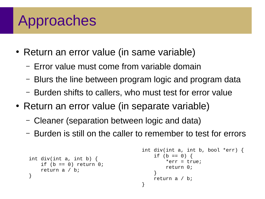## Approaches

- Return an error value (in same variable)
	- Error value must come from variable domain
	- Blurs the line between program logic and program data
	- Burden shifts to callers, who must test for error value
- Return an error value (in separate variable)
	- Cleaner (separation between logic and data)
	- Burden is still on the caller to remember to test for errors

```
int div(int a, int b) {
    if (b == 0) return 0;
     return a / b;
}
                                       int div(int a, int b, bool *err) {
                                           if (b == 0) {
                                               *err = true; return 0;
                                        }
                                            return a / b;
                                       }
```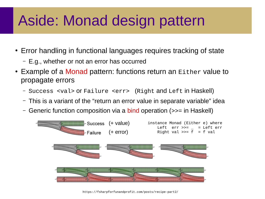# Aside: Monad design pattern

- Error handling in functional languages requires tracking of state
	- E.g., whether or not an error has occurred
- Example of a Monad pattern: functions return an Either value to propagate errors
	- Success <val> or Failure <err> (Right and Left in Haskell)
	- This is a variant of the "return an error value in separate variable" idea
	- Generic function composition via a bind operation (>>= in Haskell)



https://fsharpforfunandprofit.com/posts/recipe-part2/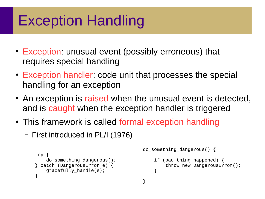# Exception Handling

- Exception: unusual event (possibly erroneous) that requires special handling
- Exception handler: code unit that processes the special handling for an exception
- An exception is raised when the unusual event is detected, and is caught when the exception handler is triggered

}

- This framework is called formal exception handling
	- First introduced in PL/I (1976)

```
try {
     do_something_dangerous();
} catch (DangerousError e) {
     gracefully_handle(e);
}
```

```
do_something_dangerous() {
 …
```

```
 if (bad_thing_happened) {
        throw new DangerousError();
 }
 …
```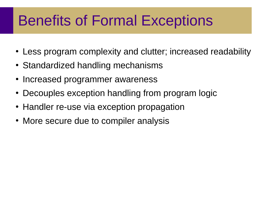## Benefits of Formal Exceptions

- Less program complexity and clutter; increased readability
- Standardized handling mechanisms
- Increased programmer awareness
- Decouples exception handling from program logic
- Handler re-use via exception propagation
- More secure due to compiler analysis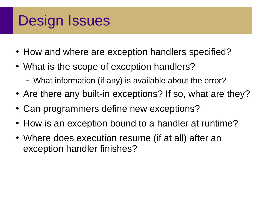### Design Issues

- How and where are exception handlers specified?
- What is the scope of exception handlers?
	- What information (if any) is available about the error?
- Are there any built-in exceptions? If so, what are they?
- Can programmers define new exceptions?
- How is an exception bound to a handler at runtime?
- Where does execution resume (if at all) after an exception handler finishes?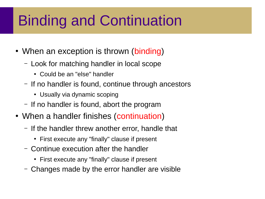# Binding and Continuation

- When an exception is thrown (binding)
	- Look for matching handler in local scope
		- Could be an "else" handler
	- If no handler is found, continue through ancestors
		- Usually via dynamic scoping
	- If no handler is found, abort the program
- When a handler finishes (continuation)
	- If the handler threw another error, handle that
		- First execute any "finally" clause if present
	- Continue execution after the handler
		- First execute any "finally" clause if present
	- Changes made by the error handler are visible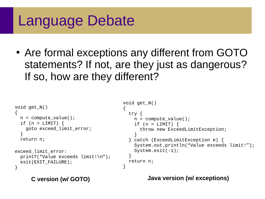#### Language Debate

• Are formal exceptions any different from GOTO statements? If not, are they just as dangerous? If so, how are they different?

```
void get_N()
{
  n = compute value();
  if (n > LIMIT) {
     goto exceed_limit_error;
   }
   return n;
exceed_limit_error:
   printf("Value exceeds limit!\n");
  exit(EXIT FAILURE);
}
                                          void get_N()
                                          {
                                             try {
                                              n = compute_value();
                                              if (n > LIMIT) {
                                                  throw new ExceedLimitException;
                                                }
                                             } catch (ExceedLimitException e) {
                                               System.out.println("Value exceeds limit!");
                                               System.exit(-1);
                                             }
                                             return n;
                                          }
```
**C version (w/ GOTO) Java version (w/ exceptions)**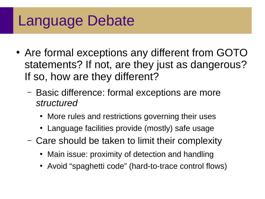#### Language Debate

- Are formal exceptions any different from GOTO statements? If not, are they just as dangerous? If so, how are they different?
	- Basic difference: formal exceptions are more *structured*
		- More rules and restrictions governing their uses
		- Language facilities provide (mostly) safe usage
	- Care should be taken to limit their complexity
		- Main issue: proximity of detection and handling
		- Avoid "spaghetti code" (hard-to-trace control flows)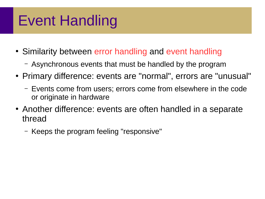#### Event Handling

- Similarity between error handling and event handling
	- Asynchronous events that must be handled by the program
- Primary difference: events are "normal", errors are "unusual"
	- Events come from users; errors come from elsewhere in the code or originate in hardware
- Another difference: events are often handled in a separate thread
	- Keeps the program feeling "responsive"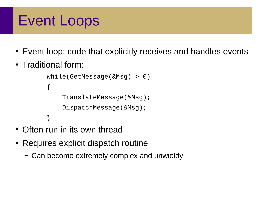#### Event Loops

- Event loop: code that explicitly receives and handles events
- Traditional form:

```
 while(GetMessage(&Msg) > 0)
 {
     TranslateMessage(&Msg);
     DispatchMessage(&Msg);
 }
```
- Often run in its own thread
- Requires explicit dispatch routine
	- Can become extremely complex and unwieldy